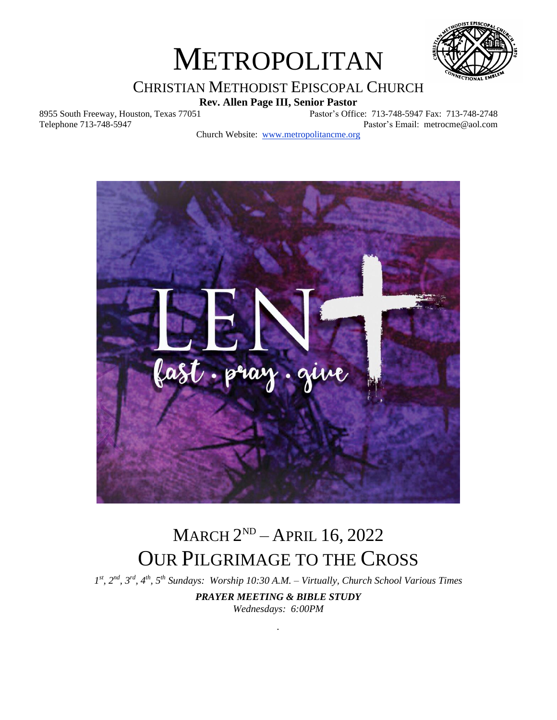# METROPOLITAN



## CHRISTIAN METHODIST EPISCOPAL CHURCH

**Rev. Allen Page III, Senior Pastor**

8955 South Freeway, Houston, Texas 77051 Pastor's Office: 713-748-5947 Fax: 713-748-2748 Telephone 713-748-5947 Pastor's Email: metrocme@aol.com

Church Website: [www.metropolitancme.org](http://www.metropolitancme.org/)



# MARCH  $2^{ND}$  – April 16, 2022 OUR PILGRIMAGE TO THE CROSS

*1 st, 2nd , 3 rd, 4th , 5 th Sundays: Worship 10:30 A.M. – Virtually, Church School Various Times*

*PRAYER MEETING & BIBLE STUDY Wednesdays: 6:00PM*

*.*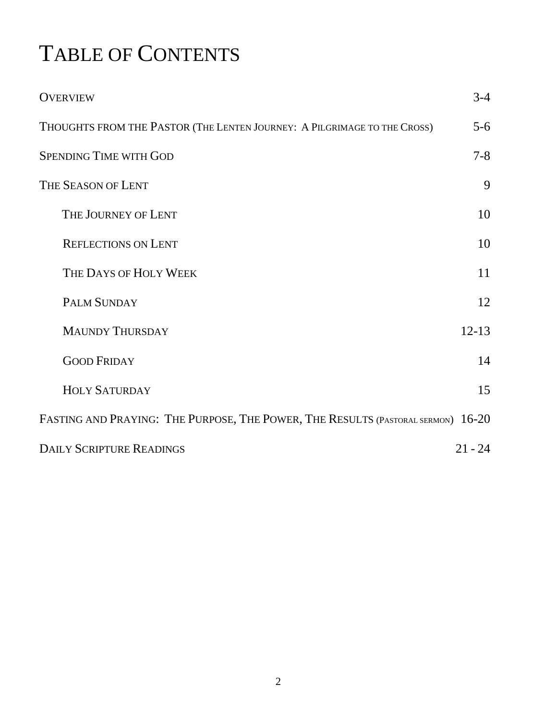# TABLE OF CONTENTS

| <b>OVERVIEW</b>                                                                  | $3-4$     |
|----------------------------------------------------------------------------------|-----------|
| THOUGHTS FROM THE PASTOR (THE LENTEN JOURNEY: A PILGRIMAGE TO THE CROSS)         | $5 - 6$   |
| <b>SPENDING TIME WITH GOD</b>                                                    | $7 - 8$   |
| THE SEASON OF LENT                                                               | 9         |
| THE JOURNEY OF LENT                                                              | 10        |
| <b>REFLECTIONS ON LENT</b>                                                       | 10        |
| THE DAYS OF HOLY WEEK                                                            | 11        |
| PALM SUNDAY                                                                      | 12        |
| <b>MAUNDY THURSDAY</b>                                                           | $12 - 13$ |
| <b>GOOD FRIDAY</b>                                                               | 14        |
| <b>HOLY SATURDAY</b>                                                             | 15        |
| FASTING AND PRAYING: THE PURPOSE, THE POWER, THE RESULTS (PASTORAL SERMON) 16-20 |           |
| <b>DAILY SCRIPTURE READINGS</b>                                                  | $21 - 24$ |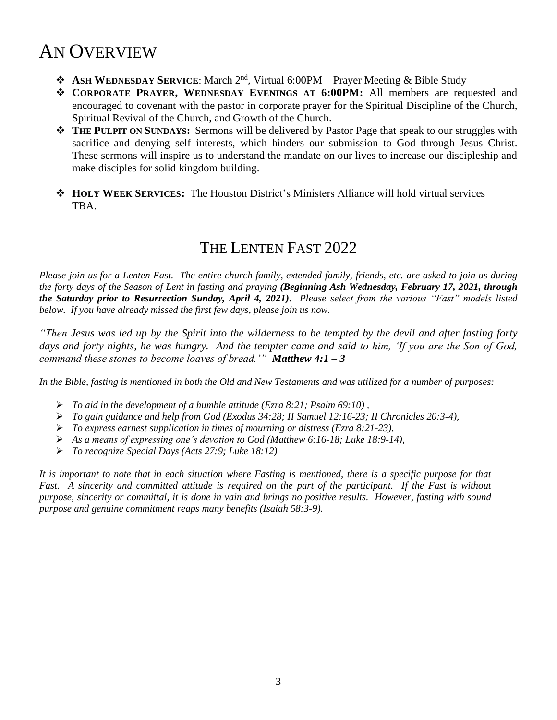# AN OVERVIEW

- ❖ **ASH WEDNESDAY SERVICE**: March 2nd , Virtual 6:00PM Prayer Meeting & Bible Study
- ❖ **CORPORATE PRAYER, WEDNESDAY EVENINGS AT 6:00PM:** All members are requested and encouraged to covenant with the pastor in corporate prayer for the Spiritual Discipline of the Church, Spiritual Revival of the Church, and Growth of the Church.
- ❖ **THE PULPIT ON SUNDAYS:** Sermons will be delivered by Pastor Page that speak to our struggles with sacrifice and denying self interests, which hinders our submission to God through Jesus Christ. These sermons will inspire us to understand the mandate on our lives to increase our discipleship and make disciples for solid kingdom building.
- ❖ **HOLY WEEK SERVICES:** The Houston District's Ministers Alliance will hold virtual services TBA.

# THE LENTEN FAST 2022

*Please join us for a Lenten Fast. The entire church family, extended family, friends, etc. are asked to join us during the forty days of the Season of Lent in fasting and praying (Beginning Ash Wednesday, February 17, 2021, through the Saturday prior to Resurrection Sunday, April 4, 2021). Please select from the various "Fast" models listed below. If you have already missed the first few days, please join us now.*

*"Then Jesus was led up by the Spirit into the wilderness to be tempted by the devil and after fasting forty days and forty nights, he was hungry. And the tempter came and said to him, 'If you are the Son of God, command these stones to become loaves of bread.'" Matthew 4:1 – 3*

*In the Bible, fasting is mentioned in both the Old and New Testaments and was utilized for a number of purposes:*

- ➢ *To aid in the development of a humble attitude (Ezra 8:21; Psalm 69:10) ,*
- ➢ *To gain guidance and help from God (Exodus 34:28; II Samuel 12:16-23; II Chronicles 20:3-4),*
- ➢ *To express earnest supplication in times of mourning or distress (Ezra 8:21-23),*
- ➢ *As a means of expressing one's devotion to God (Matthew 6:16-18; Luke 18:9-14),*
- ➢ *To recognize Special Days (Acts 27:9; Luke 18:12)*

*It is important to note that in each situation where Fasting is mentioned, there is a specific purpose for that Fast. A sincerity and committed attitude is required on the part of the participant. If the Fast is without purpose, sincerity or committal, it is done in vain and brings no positive results. However, fasting with sound purpose and genuine commitment reaps many benefits (Isaiah 58:3-9).*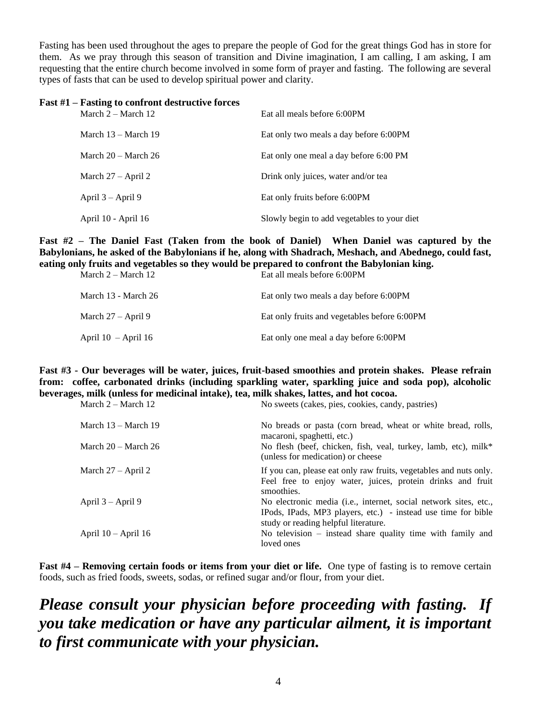Fasting has been used throughout the ages to prepare the people of God for the great things God has in store for them. As we pray through this season of transition and Divine imagination, I am calling, I am asking, I am requesting that the entire church become involved in some form of prayer and fasting. The following are several types of fasts that can be used to develop spiritual power and clarity.

| March $2 -$ March 12          | Eat all meals before 6:00PM                 |
|-------------------------------|---------------------------------------------|
| March $13 - \text{March } 19$ | Eat only two meals a day before 6:00PM      |
| March $20 - \text{March } 26$ | Eat only one meal a day before 6:00 PM      |
| March $27 -$ April 2          | Drink only juices, water and/or tea         |
| April $3 -$ April 9           | Eat only fruits before 6:00PM               |
| April 10 - April 16           | Slowly begin to add vegetables to your diet |

**Fast #2 – The Daniel Fast (Taken from the book of Daniel) When Daniel was captured by the Babylonians, he asked of the Babylonians if he, along with Shadrach, Meshach, and Abednego, could fast, eating only fruits and vegetables so they would be prepared to confront the Babylonian king.**

| March $2 -$ March 12    | Eat all meals before 6:00PM                  |
|-------------------------|----------------------------------------------|
| March 13 - March 26     | Eat only two meals a day before 6:00PM       |
| March $27 -$ April 9    | Eat only fruits and vegetables before 6:00PM |
| April $10 -$ April $16$ | Eat only one meal a day before 6:00PM        |

**Fast #3 - Our beverages will be water, juices, fruit-based smoothies and protein shakes. Please refrain from: coffee, carbonated drinks (including sparkling water, sparkling juice and soda pop), alcoholic beverages, milk (unless for medicinal intake), tea, milk shakes, lattes, and hot cocoa.**

| March $2 -$ March 12          | No sweets (cakes, pies, cookies, candy, pastries)                                                                                                                                  |
|-------------------------------|------------------------------------------------------------------------------------------------------------------------------------------------------------------------------------|
| March $13 - \text{March } 19$ | No breads or pasta (corn bread, wheat or white bread, rolls,<br>macaroni, spaghetti, etc.)                                                                                         |
| March $20 - \text{March } 26$ | No flesh (beef, chicken, fish, veal, turkey, lamb, etc), milk*<br>(unless for medication) or cheese                                                                                |
| March $27 -$ April 2          | If you can, please eat only raw fruits, vegetables and nuts only.<br>Feel free to enjoy water, juices, protein drinks and fruit<br>smoothies.                                      |
| April $3 -$ April 9           | No electronic media ( <i>i.e.</i> , internet, social network sites, etc.,<br>IPods, IPads, MP3 players, etc.) - instead use time for bible<br>study or reading helpful literature. |
| April $10 -$ April 16         | No television $-$ instead share quality time with family and<br>loved ones                                                                                                         |

**Fast #4 – Removing certain foods or items from your diet or life.** One type of fasting is to remove certain foods, such as fried foods, sweets, sodas, or refined sugar and/or flour, from your diet.

*Please consult your physician before proceeding with fasting. If you take medication or have any particular ailment, it is important to first communicate with your physician.*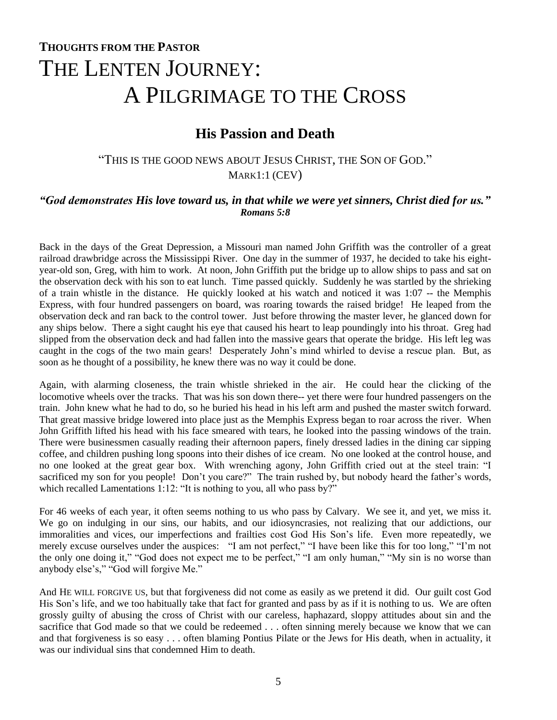# **THOUGHTS FROM THE PASTOR** THE LENTEN JOURNEY: A PILGRIMAGE TO THE CROSS

## **His Passion and Death**

## "THIS IS THE GOOD NEWS ABOUT JESUS CHRIST, THE SON OF GOD." MARK1:1 (CEV)

### *"God demonstrates His love toward us, in that while we were yet sinners, Christ died for us." Romans 5:8*

Back in the days of the Great Depression, a Missouri man named John Griffith was the controller of a great railroad drawbridge across the Mississippi River. One day in the summer of 1937, he decided to take his eightyear-old son, Greg, with him to work. At noon, John Griffith put the bridge up to allow ships to pass and sat on the observation deck with his son to eat lunch. Time passed quickly. Suddenly he was startled by the shrieking of a train whistle in the distance. He quickly looked at his watch and noticed it was 1:07 -- the Memphis Express, with four hundred passengers on board, was roaring towards the raised bridge! He leaped from the observation deck and ran back to the control tower. Just before throwing the master lever, he glanced down for any ships below. There a sight caught his eye that caused his heart to leap poundingly into his throat. Greg had slipped from the observation deck and had fallen into the massive gears that operate the bridge. His left leg was caught in the cogs of the two main gears! Desperately John's mind whirled to devise a rescue plan. But, as soon as he thought of a possibility, he knew there was no way it could be done.

Again, with alarming closeness, the train whistle shrieked in the air. He could hear the clicking of the locomotive wheels over the tracks. That was his son down there-- yet there were four hundred passengers on the train. John knew what he had to do, so he buried his head in his left arm and pushed the master switch forward. That great massive bridge lowered into place just as the Memphis Express began to roar across the river. When John Griffith lifted his head with his face smeared with tears, he looked into the passing windows of the train. There were businessmen casually reading their afternoon papers, finely dressed ladies in the dining car sipping coffee, and children pushing long spoons into their dishes of ice cream. No one looked at the control house, and no one looked at the great gear box. With wrenching agony, John Griffith cried out at the steel train: "I sacrificed my son for you people! Don't you care?" The train rushed by, but nobody heard the father's words, which recalled Lamentations 1:12: "It is nothing to you, all who pass by?"

For 46 weeks of each year, it often seems nothing to us who pass by Calvary. We see it, and yet, we miss it. We go on indulging in our sins, our habits, and our idiosyncrasies, not realizing that our addictions, our immoralities and vices, our imperfections and frailties cost God His Son's life. Even more repeatedly, we merely excuse ourselves under the auspices: "I am not perfect," "I have been like this for too long," "I'm not the only one doing it," "God does not expect me to be perfect," "I am only human," "My sin is no worse than anybody else's," "God will forgive Me."

And HE WILL FORGIVE US, but that forgiveness did not come as easily as we pretend it did. Our guilt cost God His Son's life, and we too habitually take that fact for granted and pass by as if it is nothing to us. We are often grossly guilty of abusing the cross of Christ with our careless, haphazard, sloppy attitudes about sin and the sacrifice that God made so that we could be redeemed . . . often sinning merely because we know that we can and that forgiveness is so easy . . . often blaming Pontius Pilate or the Jews for His death, when in actuality, it was our individual sins that condemned Him to death.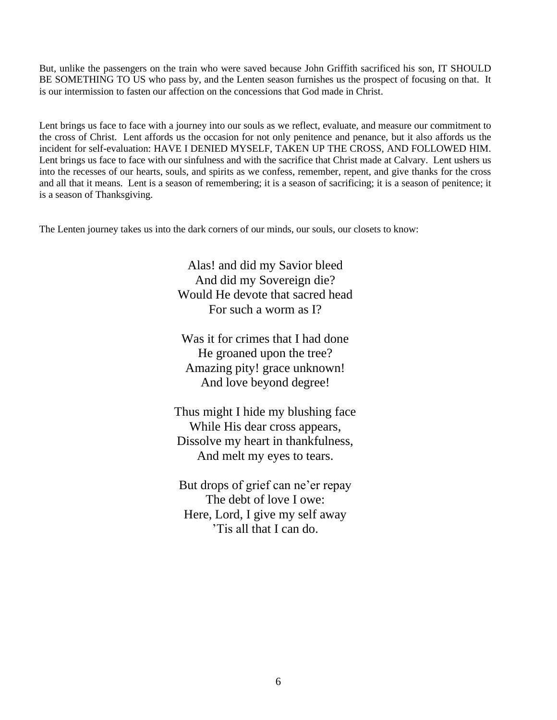But, unlike the passengers on the train who were saved because John Griffith sacrificed his son, IT SHOULD BE SOMETHING TO US who pass by, and the Lenten season furnishes us the prospect of focusing on that. It is our intermission to fasten our affection on the concessions that God made in Christ.

Lent brings us face to face with a journey into our souls as we reflect, evaluate, and measure our commitment to the cross of Christ. Lent affords us the occasion for not only penitence and penance, but it also affords us the incident for self-evaluation: HAVE I DENIED MYSELF, TAKEN UP THE CROSS, AND FOLLOWED HIM. Lent brings us face to face with our sinfulness and with the sacrifice that Christ made at Calvary. Lent ushers us into the recesses of our hearts, souls, and spirits as we confess, remember, repent, and give thanks for the cross and all that it means. Lent is a season of remembering; it is a season of sacrificing; it is a season of penitence; it is a season of Thanksgiving.

The Lenten journey takes us into the dark corners of our minds, our souls, our closets to know:

Alas! and did my Savior bleed And did my Sovereign die? Would He devote that sacred head For such a worm as I?

Was it for crimes that I had done He groaned upon the tree? Amazing pity! grace unknown! And love beyond degree!

Thus might I hide my blushing face While His dear cross appears, Dissolve my heart in thankfulness, And melt my eyes to tears.

But drops of grief can ne'er repay The debt of love I owe: Here, Lord, I give my self away 'Tis all that I can do.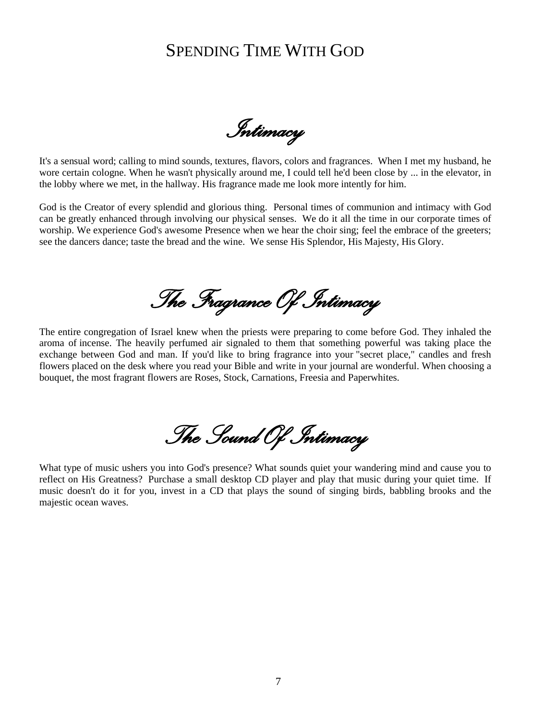# SPENDING TIME WITH GOD

*Intimacy* 

It's a sensual word; calling to mind sounds, textures, flavors, colors and fragrances. When I met my husband, he wore certain cologne. When he wasn't physically around me, I could tell he'd been close by ... in the elevator, in the lobby where we met, in the hallway. His fragrance made me look more intently for him.

God is the Creator of every splendid and glorious thing. Personal times of communion and intimacy with God can be greatly enhanced through involving our physical senses. We do it all the time in our corporate times of worship. We experience God's awesome Presence when we hear the choir sing; feel the embrace of the greeters; see the dancers dance; taste the bread and the wine. We sense His Splendor, His Majesty, His Glory.

*The Fragrance Of Intimacy*

The entire congregation of Israel knew when the priests were preparing to come before God. They inhaled the aroma of incense. The heavily perfumed air signaled to them that something powerful was taking place the exchange between God and man. If you'd like to bring fragrance into your "secret place," candles and fresh flowers placed on the desk where you read your Bible and write in your journal are wonderful. When choosing a bouquet, the most fragrant flowers are Roses, Stock, Carnations, Freesia and Paperwhites.

*The Sound Of Intimacy* 

What type of music ushers you into God's presence? What sounds quiet your wandering mind and cause you to reflect on His Greatness? Purchase a small desktop CD player and play that music during your quiet time. If music doesn't do it for you, invest in a CD that plays the sound of singing birds, babbling brooks and the majestic ocean waves.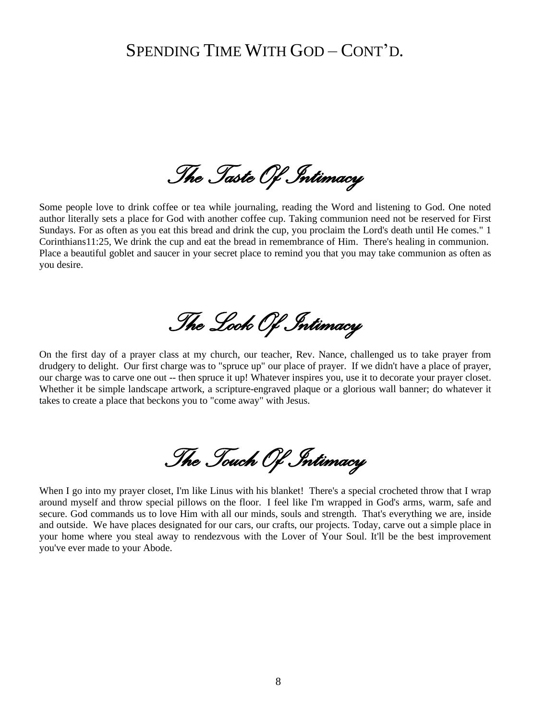## SPENDING TIME WITH GOD – CONT'D.

*The Taste Of Intimacy*

Some people love to drink coffee or tea while journaling, reading the Word and listening to God. One noted author literally sets a place for God with another coffee cup. Taking communion need not be reserved for First Sundays. For as often as you eat this bread and drink the cup, you proclaim the Lord's death until He comes." 1 Corinthians11:25, We drink the cup and eat the bread in remembrance of Him. There's healing in communion. Place a beautiful goblet and saucer in your secret place to remind you that you may take communion as often as you desire.

*The Look Of Intimacy* 

On the first day of a prayer class at my church, our teacher, Rev. Nance, challenged us to take prayer from drudgery to delight. Our first charge was to "spruce up" our place of prayer. If we didn't have a place of prayer, our charge was to carve one out -- then spruce it up! Whatever inspires you, use it to decorate your prayer closet. Whether it be simple landscape artwork, a scripture-engraved plaque or a glorious wall banner; do whatever it takes to create a place that beckons you to "come away" with Jesus.

*The Touch Of Intimacy* 

When I go into my prayer closet, I'm like Linus with his blanket! There's a special crocheted throw that I wrap around myself and throw special pillows on the floor. I feel like I'm wrapped in God's arms, warm, safe and secure. God commands us to love Him with all our minds, souls and strength. That's everything we are, inside and outside. We have places designated for our cars, our crafts, our projects. Today, carve out a simple place in your home where you steal away to rendezvous with the Lover of Your Soul. It'll be the best improvement you've ever made to your Abode.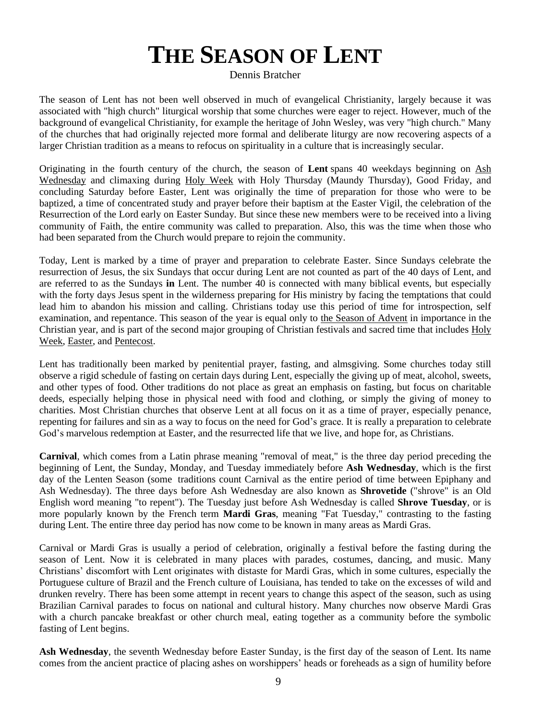# **THE SEASON OF LENT**

Dennis Bratcher

The season of Lent has not been well observed in much of evangelical Christianity, largely because it was associated with "high church" liturgical worship that some churches were eager to reject. However, much of the background of evangelical Christianity, for example the heritage of John Wesley, was very "high church." Many of the churches that had originally rejected more formal and deliberate liturgy are now recovering aspects of a larger Christian tradition as a means to refocus on spirituality in a culture that is increasingly secular.

Originating in the fourth century of the church, the season of **Lent** spans 40 weekdays beginning on [Ash](http://www.cresourcei.org/cylent.html#Ash#Ash)  [Wednesday](http://www.cresourcei.org/cylent.html#Ash#Ash) and climaxing during [Holy Week](http://www.cresourcei.org/cyholyweek.html) with Holy Thursday (Maundy Thursday), Good Friday, and concluding Saturday before Easter, Lent was originally the time of preparation for those who were to be baptized, a time of concentrated study and prayer before their baptism at the Easter Vigil, the celebration of the Resurrection of the Lord early on Easter Sunday. But since these new members were to be received into a living community of Faith, the entire community was called to preparation. Also, this was the time when those who had been separated from the Church would prepare to rejoin the community.

Today, Lent is marked by a time of prayer and preparation to celebrate Easter. Since Sundays celebrate the resurrection of Jesus, the six Sundays that occur during Lent are not counted as part of the 40 days of Lent, and are referred to as the Sundays **in** Lent. The number 40 is connected with many biblical events, but especially with the forty days Jesus spent in the wilderness preparing for His ministry by facing the temptations that could lead him to abandon his mission and calling. Christians today use this period of time for introspection, self examination, and repentance. This season of the year is equal only to [the Season of Advent](http://www.cresourcei.org/cyadvent.html) in importance in the Christian year, and is part of the second major grouping of Christian festivals and sacred time that includes [Holy](http://www.cresourcei.org/cyholyweek.html)  [Week,](http://www.cresourcei.org/cyholyweek.html) [Easter,](http://www.cresourcei.org/cyeaster.html) and [Pentecost.](http://www.cresourcei.org/cypentecost.html)

Lent has traditionally been marked by penitential prayer, fasting, and almsgiving. Some churches today still observe a rigid schedule of fasting on certain days during Lent, especially the giving up of meat, alcohol, sweets, and other types of food. Other traditions do not place as great an emphasis on fasting, but focus on charitable deeds, especially helping those in physical need with food and clothing, or simply the giving of money to charities. Most Christian churches that observe Lent at all focus on it as a time of prayer, especially penance, repenting for failures and sin as a way to focus on the need for God's grace. It is really a preparation to celebrate God's marvelous redemption at Easter, and the resurrected life that we live, and hope for, as Christians.

**Carnival**, which comes from a Latin phrase meaning "removal of meat," is the three day period preceding the beginning of Lent, the Sunday, Monday, and Tuesday immediately before **Ash Wednesday**, which is the first day of the Lenten Season (some traditions count Carnival as the entire period of time between Epiphany and Ash Wednesday). The three days before Ash Wednesday are also known as **Shrovetide** ("shrove" is an Old English word meaning "to repent"). The Tuesday just before Ash Wednesday is called **Shrove Tuesday**, or is more popularly known by the French term **Mardi Gras**, meaning "Fat Tuesday," contrasting to the fasting during Lent. The entire three day period has now come to be known in many areas as Mardi Gras.

Carnival or Mardi Gras is usually a period of celebration, originally a festival before the fasting during the season of Lent. Now it is celebrated in many places with parades, costumes, dancing, and music. Many Christians' discomfort with Lent originates with distaste for Mardi Gras, which in some cultures, especially the Portuguese culture of Brazil and the French culture of Louisiana, has tended to take on the excesses of wild and drunken revelry. There has been some attempt in recent years to change this aspect of the season, such as using Brazilian Carnival parades to focus on national and cultural history. Many churches now observe Mardi Gras with a church pancake breakfast or other church meal, eating together as a community before the symbolic fasting of Lent begins.

**Ash Wednesday**, the seventh Wednesday before Easter Sunday, is the first day of the season of Lent. Its name comes from the ancient practice of placing ashes on worshippers' heads or foreheads as a sign of humility before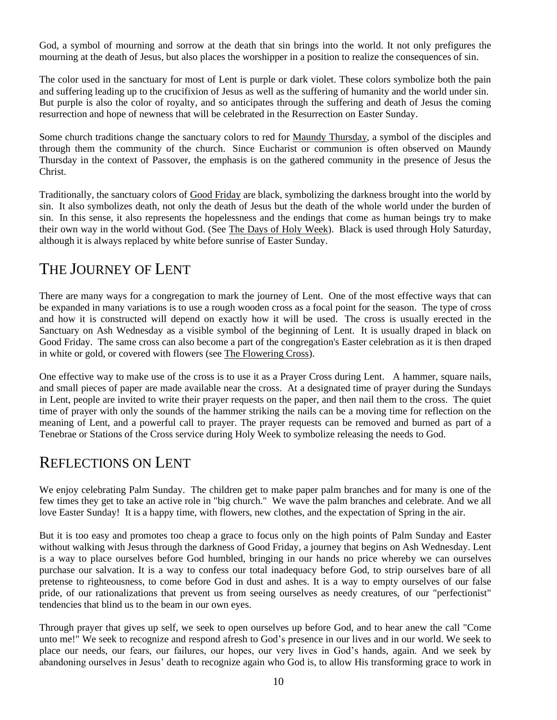God, a symbol of mourning and sorrow at the death that sin brings into the world. It not only prefigures the mourning at the death of Jesus, but also places the worshipper in a position to realize the consequences of sin.

The color used in the sanctuary for most of Lent is purple or dark violet. These colors symbolize both the pain and suffering leading up to the crucifixion of Jesus as well as the suffering of humanity and the world under sin. But purple is also the color of royalty, and so anticipates through the suffering and death of Jesus the coming resurrection and hope of newness that will be celebrated in the Resurrection on Easter Sunday.

Some church traditions change the sanctuary colors to red for [Maundy Thursday,](http://www.cresourcei.org/cyholyweek.html#Maundy) a symbol of the disciples and through them the community of the church. Since Eucharist or communion is often observed on Maundy Thursday in the context of Passover, the emphasis is on the gathered community in the presence of Jesus the Christ.

Traditionally, the sanctuary colors of [Good Friday](http://www.cresourcei.org/cyholyweek.html#Good) are black, symbolizing the darkness brought into the world by sin. It also symbolizes death, not only the death of Jesus but the death of the whole world under the burden of sin. In this sense, it also represents the hopelessness and the endings that come as human beings try to make their own way in the world without God. (See The [Days of Holy Week\)](http://www.cresourcei.org/cyholyweek.html). Black is used through Holy Saturday, although it is always replaced by white before sunrise of Easter Sunday.

# THE JOURNEY OF LENT

There are many ways for a congregation to mark the journey of Lent. One of the most effective ways that can be expanded in many variations is to use a rough wooden cross as a focal point for the season. The type of cross and how it is constructed will depend on exactly how it will be used. The cross is usually erected in the Sanctuary on Ash Wednesday as a visible symbol of the beginning of Lent. It is usually draped in black on Good Friday. The same cross can also become a part of the congregation's Easter celebration as it is then draped in white or gold, or covered with flowers (see [The Flowering Cross\)](http://www.cresourcei.org/cyeaster.html#Flowering Cross).

One effective way to make use of the cross is to use it as a Prayer Cross during Lent. A hammer, square nails, and small pieces of paper are made available near the cross. At a designated time of prayer during the Sundays in Lent, people are invited to write their prayer requests on the paper, and then nail them to the cross. The quiet time of prayer with only the sounds of the hammer striking the nails can be a moving time for reflection on the meaning of Lent, and a powerful call to prayer. The prayer requests can be removed and burned as part of a Tenebrae or Stations of the Cross service during Holy Week to symbolize releasing the needs to God.

## REFLECTIONS ON LENT

We enjoy celebrating Palm Sunday. The children get to make paper palm branches and for many is one of the few times they get to take an active role in "big church." We wave the palm branches and celebrate. And we all love Easter Sunday! It is a happy time, with flowers, new clothes, and the expectation of Spring in the air.

But it is too easy and promotes too cheap a grace to focus only on the high points of Palm Sunday and Easter without walking with Jesus through the darkness of Good Friday, a journey that begins on Ash Wednesday. Lent is a way to place ourselves before God humbled, bringing in our hands no price whereby we can ourselves purchase our salvation. It is a way to confess our total inadequacy before God, to strip ourselves bare of all pretense to righteousness, to come before God in dust and ashes. It is a way to empty ourselves of our false pride, of our rationalizations that prevent us from seeing ourselves as needy creatures, of our "perfectionist" tendencies that blind us to the beam in our own eyes.

Through prayer that gives up self, we seek to open ourselves up before God, and to hear anew the call "Come unto me!" We seek to recognize and respond afresh to God's presence in our lives and in our world. We seek to place our needs, our fears, our failures, our hopes, our very lives in God's hands, again. And we seek by abandoning ourselves in Jesus' death to recognize again who God is, to allow His transforming grace to work in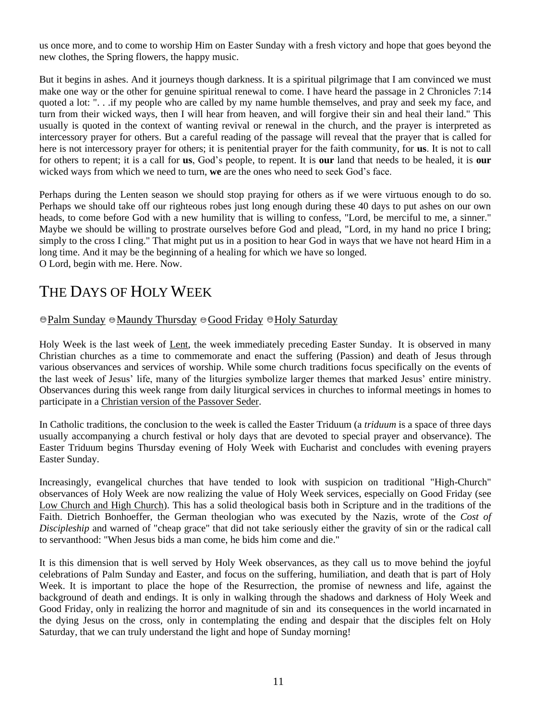us once more, and to come to worship Him on Easter Sunday with a fresh victory and hope that goes beyond the new clothes, the Spring flowers, the happy music.

But it begins in ashes. And it journeys though darkness. It is a spiritual pilgrimage that I am convinced we must make one way or the other for genuine spiritual renewal to come. I have heard the passage in 2 Chronicles 7:14 quoted a lot: ". . .if my people who are called by my name humble themselves, and pray and seek my face, and turn from their wicked ways, then I will hear from heaven, and will forgive their sin and heal their land." This usually is quoted in the context of wanting revival or renewal in the church, and the prayer is interpreted as intercessory prayer for others. But a careful reading of the passage will reveal that the prayer that is called for here is not intercessory prayer for others; it is penitential prayer for the faith community, for **us**. It is not to call for others to repent; it is a call for **us**, God's people, to repent. It is **our** land that needs to be healed, it is **our** wicked ways from which we need to turn, **we** are the ones who need to seek God's face.

Perhaps during the Lenten season we should stop praying for others as if we were virtuous enough to do so. Perhaps we should take off our righteous robes just long enough during these 40 days to put ashes on our own heads, to come before God with a new humility that is willing to confess, "Lord, be merciful to me, a sinner." Maybe we should be willing to prostrate ourselves before God and plead, "Lord, in my hand no price I bring; simply to the cross I cling." That might put us in a position to hear God in ways that we have not heard Him in a long time. And it may be the beginning of a healing for which we have so longed. O Lord, begin with me. Here. Now.

## THE DAYS OF HOLY WEEK

## ⊕Palm [Sunday](http://www.cresourcei.org/cyholyweek.html#Palm#Palm) ⊕[Maundy Thursday](http://www.cresourcei.org/cyholyweek.html#Maundy#Maundy) ⊕[Good Friday](http://www.cresourcei.org/cyholyweek.html#Good#Good) ⊕[Holy Saturday](http://www.cresourcei.org/cyholyweek.html#Saturday#Saturday)

Holy Week is the last week of [Lent,](http://www.cresourcei.org/cylent.html) the week immediately preceding Easter Sunday. It is observed in many Christian churches as a time to commemorate and enact the suffering (Passion) and death of Jesus through various observances and services of worship. While some church traditions focus specifically on the events of the last week of Jesus' life, many of the liturgies symbolize larger themes that marked Jesus' entire ministry. Observances during this week range from daily liturgical services in churches to informal meetings in homes to participate in a [Christian version of the Passover Seder.](http://www.cresourcei.org/seder.html)

In Catholic traditions, the conclusion to the week is called the Easter Triduum (a *triduum* is a space of three days usually accompanying a church festival or holy days that are devoted to special prayer and observance). The Easter Triduum begins Thursday evening of Holy Week with Eucharist and concludes with evening prayers Easter Sunday.

Increasingly, evangelical churches that have tended to look with suspicion on traditional "High-Church" observances of Holy Week are now realizing the value of Holy Week services, especially on Good Friday (see [Low Church and High Church\)](http://www.cresourcei.org/lowhighchurch.html). This has a solid theological basis both in Scripture and in the traditions of the Faith. Dietrich Bonhoeffer, the German theologian who was executed by the Nazis, wrote of the *Cost of Discipleship* and warned of "cheap grace" that did not take seriously either the gravity of sin or the radical call to servanthood: "When Jesus bids a man come, he bids him come and die."

It is this dimension that is well served by Holy Week observances, as they call us to move behind the joyful celebrations of Palm Sunday and Easter, and focus on the suffering, humiliation, and death that is part of Holy Week. It is important to place the hope of the Resurrection, the promise of newness and life, against the background of death and endings. It is only in walking through the shadows and darkness of Holy Week and Good Friday, only in realizing the horror and magnitude of sin and its consequences in the world incarnated in the dying Jesus on the cross, only in contemplating the ending and despair that the disciples felt on Holy Saturday, that we can truly understand the light and hope of Sunday morning!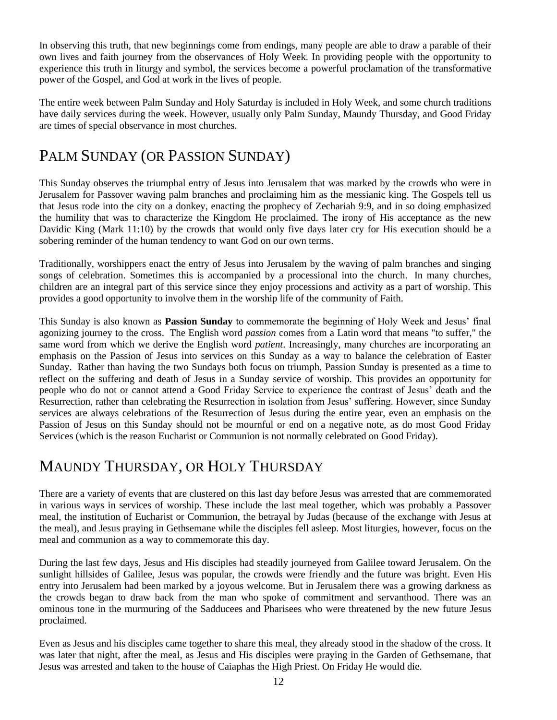In observing this truth, that new beginnings come from endings, many people are able to draw a parable of their own lives and faith journey from the observances of Holy Week. In providing people with the opportunity to experience this truth in liturgy and symbol, the services become a powerful proclamation of the transformative power of the Gospel, and God at work in the lives of people.

The entire week between Palm Sunday and Holy Saturday is included in Holy Week, and some church traditions have daily services during the week. However, usually only Palm Sunday, Maundy Thursday, and Good Friday are times of special observance in most churches.

# PALM SUNDAY (OR PASSION SUNDAY)

This Sunday observes the triumphal entry of Jesus into Jerusalem that was marked by the crowds who were in Jerusalem for Passover waving palm branches and proclaiming him as the messianic king. The Gospels tell us that Jesus rode into the city on a donkey, enacting the prophecy of Zechariah 9:9, and in so doing emphasized the humility that was to characterize the Kingdom He proclaimed. The irony of His acceptance as the new Davidic King (Mark 11:10) by the crowds that would only five days later cry for His execution should be a sobering reminder of the human tendency to want God on our own terms.

Traditionally, worshippers enact the entry of Jesus into Jerusalem by the waving of palm branches and singing songs of celebration. Sometimes this is accompanied by a processional into the church. In many churches, children are an integral part of this service since they enjoy processions and activity as a part of worship. This provides a good opportunity to involve them in the worship life of the community of Faith.

This Sunday is also known as **Passion Sunday** to commemorate the beginning of Holy Week and Jesus' final agonizing journey to the cross. The English word *passion* comes from a Latin word that means "to suffer," the same word from which we derive the English word *patient*. Increasingly, many churches are incorporating an emphasis on the Passion of Jesus into services on this Sunday as a way to balance the celebration of Easter Sunday. Rather than having the two Sundays both focus on triumph, Passion Sunday is presented as a time to reflect on the suffering and death of Jesus in a Sunday service of worship. This provides an opportunity for people who do not or cannot attend a Good Friday Service to experience the contrast of Jesus' death and the Resurrection, rather than celebrating the Resurrection in isolation from Jesus' suffering. However, since Sunday services are always celebrations of the Resurrection of Jesus during the entire year, even an emphasis on the Passion of Jesus on this Sunday should not be mournful or end on a negative note, as do most Good Friday Services (which is the reason Eucharist or Communion is not normally celebrated on Good Friday).

# MAUNDY THURSDAY, OR HOLY THURSDAY

There are a variety of events that are clustered on this last day before Jesus was arrested that are commemorated in various ways in services of worship. These include the last meal together, which was probably a Passover meal, the institution of Eucharist or Communion, the betrayal by Judas (because of the exchange with Jesus at the meal), and Jesus praying in Gethsemane while the disciples fell asleep. Most liturgies, however, focus on the meal and communion as a way to commemorate this day.

During the last few days, Jesus and His disciples had steadily journeyed from Galilee toward Jerusalem. On the sunlight hillsides of Galilee, Jesus was popular, the crowds were friendly and the future was bright. Even His entry into Jerusalem had been marked by a joyous welcome. But in Jerusalem there was a growing darkness as the crowds began to draw back from the man who spoke of commitment and servanthood. There was an ominous tone in the murmuring of the Sadducees and Pharisees who were threatened by the new future Jesus proclaimed.

Even as Jesus and his disciples came together to share this meal, they already stood in the shadow of the cross. It was later that night, after the meal, as Jesus and His disciples were praying in the Garden of Gethsemane, that Jesus was arrested and taken to the house of Caiaphas the High Priest. On Friday He would die.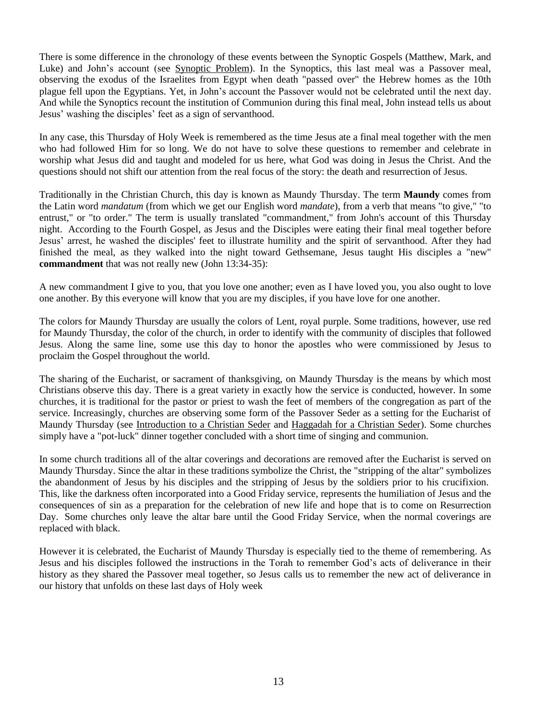There is some difference in the chronology of these events between the Synoptic Gospels (Matthew, Mark, and Luke) and John's account (see [Synoptic Problem\)](http://www.cresourcei.org/synoptic.html). In the Synoptics, this last meal was a Passover meal, observing the exodus of the Israelites from Egypt when death "passed over" the Hebrew homes as the 10th plague fell upon the Egyptians. Yet, in John's account the Passover would not be celebrated until the next day. And while the Synoptics recount the institution of Communion during this final meal, John instead tells us about Jesus' washing the disciples' feet as a sign of servanthood.

In any case, this Thursday of Holy Week is remembered as the time Jesus ate a final meal together with the men who had followed Him for so long. We do not have to solve these questions to remember and celebrate in worship what Jesus did and taught and modeled for us here, what God was doing in Jesus the Christ. And the questions should not shift our attention from the real focus of the story: the death and resurrection of Jesus.

Traditionally in the Christian Church, this day is known as Maundy Thursday. The term **Maundy** comes from the Latin word *mandatum* (from which we get our English word *mandate*), from a verb that means "to give," "to entrust," or "to order." The term is usually translated "commandment," from John's account of this Thursday night. According to the Fourth Gospel, as Jesus and the Disciples were eating their final meal together before Jesus' arrest, he washed the disciples' feet to illustrate humility and the spirit of servanthood. After they had finished the meal, as they walked into the night toward Gethsemane, Jesus taught His disciples a "new" **commandment** that was not really new (John 13:34-35):

A new commandment I give to you, that you love one another; even as I have loved you, you also ought to love one another. By this everyone will know that you are my disciples, if you have love for one another.

The colors for Maundy Thursday are usually the colors of Lent, royal purple. Some traditions, however, use red for Maundy Thursday, the color of the church, in order to identify with the community of disciples that followed Jesus. Along the same line, some use this day to honor the apostles who were commissioned by Jesus to proclaim the Gospel throughout the world.

The sharing of the Eucharist, or sacrament of thanksgiving, on Maundy Thursday is the means by which most Christians observe this day. There is a great variety in exactly how the service is conducted, however. In some churches, it is traditional for the pastor or priest to wash the feet of members of the congregation as part of the service. Increasingly, churches are observing some form of the Passover Seder as a setting for the Eucharist of Maundy Thursday (see [Introduction to a Christian Seder](http://www.cresourcei.org/seder.html) and [Haggadah for a Christian Seder\)](http://www.cresourcei.org/haggadah.html). Some churches simply have a "pot-luck" dinner together concluded with a short time of singing and communion.

In some church traditions all of the altar coverings and decorations are removed after the Eucharist is served on Maundy Thursday. Since the altar in these traditions symbolize the Christ, the "stripping of the altar" symbolizes the abandonment of Jesus by his disciples and the stripping of Jesus by the soldiers prior to his crucifixion. This, like the darkness often incorporated into a Good Friday service, represents the humiliation of Jesus and the consequences of sin as a preparation for the celebration of new life and hope that is to come on Resurrection Day. Some churches only leave the altar bare until the Good Friday Service, when the normal coverings are replaced with black.

However it is celebrated, the Eucharist of Maundy Thursday is especially tied to the theme of remembering. As Jesus and his disciples followed the instructions in the Torah to remember God's acts of deliverance in their history as they shared the Passover meal together, so Jesus calls us to remember the new act of deliverance in our history that unfolds on these last days of Holy week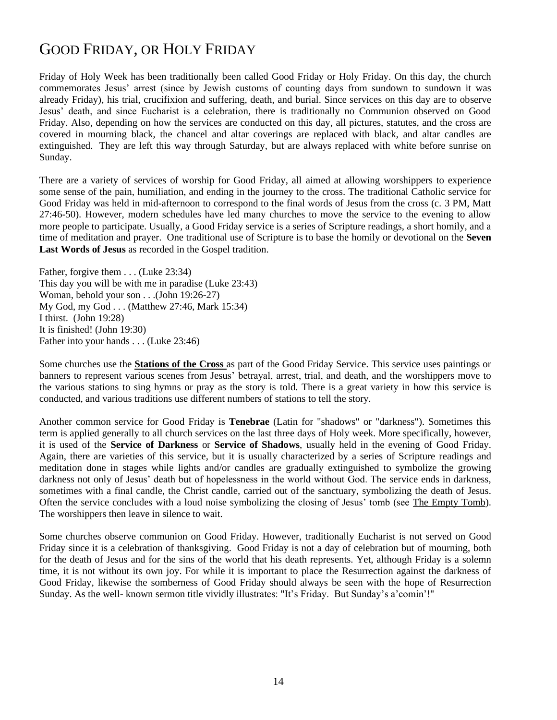# GOOD FRIDAY, OR HOLY FRIDAY

Friday of Holy Week has been traditionally been called Good Friday or Holy Friday. On this day, the church commemorates Jesus' arrest (since by Jewish customs of counting days from sundown to sundown it was already Friday), his trial, crucifixion and suffering, death, and burial. Since services on this day are to observe Jesus' death, and since Eucharist is a celebration, there is traditionally no Communion observed on Good Friday. Also, depending on how the services are conducted on this day, all pictures, statutes, and the cross are covered in mourning black, the chancel and altar coverings are replaced with black, and altar candles are extinguished. They are left this way through Saturday, but are always replaced with white before sunrise on Sunday.

There are a variety of services of worship for Good Friday, all aimed at allowing worshippers to experience some sense of the pain, humiliation, and ending in the journey to the cross. The traditional Catholic service for Good Friday was held in mid-afternoon to correspond to the final words of Jesus from the cross (c. 3 PM, Matt 27:46-50). However, modern schedules have led many churches to move the service to the evening to allow more people to participate. Usually, a Good Friday service is a series of Scripture readings, a short homily, and a time of meditation and prayer. One traditional use of Scripture is to base the homily or devotional on the **Seven Last Words of Jesus** as recorded in the Gospel tradition.

Father, forgive them . . . (Luke 23:34) This day you will be with me in paradise (Luke 23:43) Woman, behold your son . . .(John 19:26-27) My God, my God . . . (Matthew 27:46, Mark 15:34) I thirst. (John 19:28) It is finished! (John 19:30) Father into your hands . . . (Luke 23:46)

Some churches use the **[Stations of the Cross](http://www.cresourcei.org/stations.html)** as part of the Good Friday Service. This service uses paintings or banners to represent various scenes from Jesus' betrayal, arrest, trial, and death, and the worshippers move to the various stations to sing hymns or pray as the story is told. There is a great variety in how this service is conducted, and various traditions use different numbers of stations to tell the story.

Another common service for Good Friday is **Tenebrae** (Latin for "shadows" or "darkness"). Sometimes this term is applied generally to all church services on the last three days of Holy week. More specifically, however, it is used of the **Service of Darkness** or **Service of Shadows**, usually held in the evening of Good Friday. Again, there are varieties of this service, but it is usually characterized by a series of Scripture readings and meditation done in stages while lights and/or candles are gradually extinguished to symbolize the growing darkness not only of Jesus' death but of hopelessness in the world without God. The service ends in darkness, sometimes with a final candle, the Christ candle, carried out of the sanctuary, symbolizing the death of Jesus. Often the service concludes with a loud noise symbolizing the closing of Jesus' tomb (see [The Empty Tomb\)](http://www.cresourcei.org/cyeaster.html#Empty Tomb). The worshippers then leave in silence to wait.

Some churches observe communion on Good Friday. However, traditionally Eucharist is not served on Good Friday since it is a celebration of thanksgiving. Good Friday is not a day of celebration but of mourning, both for the death of Jesus and for the sins of the world that his death represents. Yet, although Friday is a solemn time, it is not without its own joy. For while it is important to place the Resurrection against the darkness of Good Friday, likewise the somberness of Good Friday should always be seen with the hope of Resurrection Sunday. As the well- known sermon title vividly illustrates: "It's Friday. But Sunday's a'comin'!"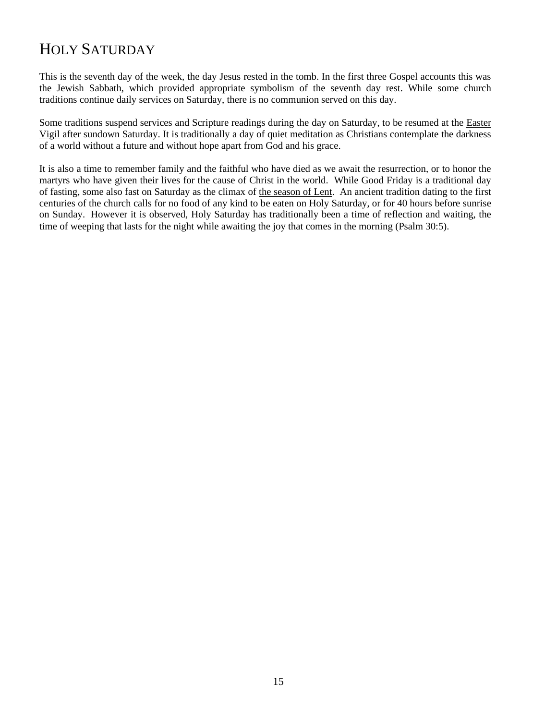# HOLY SATURDAY

This is the seventh day of the week, the day Jesus rested in the tomb. In the first three Gospel accounts this was the Jewish Sabbath, which provided appropriate symbolism of the seventh day rest. While some church traditions continue daily services on Saturday, there is no communion served on this day.

Some traditions suspend services and Scripture readings during the day on Saturday, to be resumed at the Easter [Vigil](http://www.cresourcei.org/cyeaster.html#Easter Vigil) after sundown Saturday. It is traditionally a day of quiet meditation as Christians contemplate the darkness of a world without a future and without hope apart from God and his grace.

It is also a time to remember family and the faithful who have died as we await the resurrection, or to honor the martyrs who have given their lives for the cause of Christ in the world. While Good Friday is a traditional day of fasting, some also fast on Saturday as the climax of [the season of Lent.](http://www.cresourcei.org/cylent.html) An ancient tradition dating to the first centuries of the church calls for no food of any kind to be eaten on Holy Saturday, or for 40 hours before sunrise on Sunday. However it is observed, Holy Saturday has traditionally been a time of reflection and waiting, the time of weeping that lasts for the night while awaiting the joy that comes in the morning (Psalm 30:5).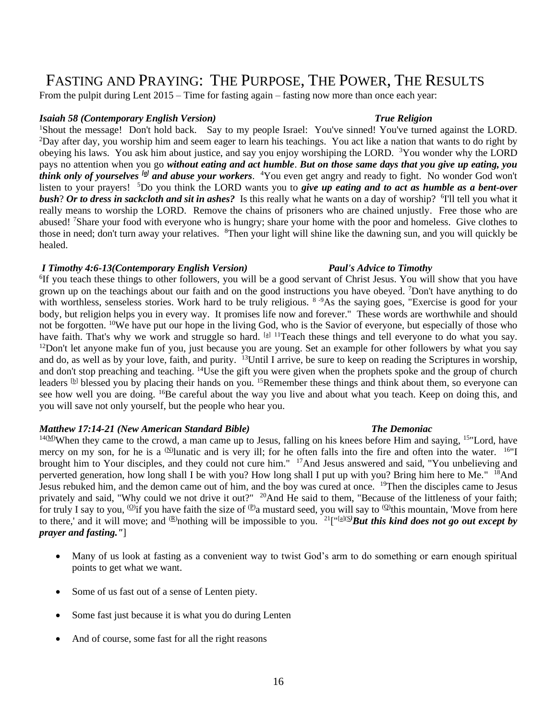## FASTING AND PRAYING: THE PURPOSE, THE POWER, THE RESULTS

From the pulpit during Lent 2015 – Time for fasting again – fasting now more than once each year:

#### *Isaiah 58 (Contemporary English Version) True Religion*

<sup>1</sup>Shout the message! Don't hold back. Say to my people Israel: You've sinned! You've turned against the LORD. <sup>2</sup>Day after day, you worship him and seem eager to learn his teachings. You act like a nation that wants to do right by obeying his laws. You ask him about justice, and say you enjoy worshiping the LORD. <sup>3</sup>You wonder why the LORD pays no attention when you go *without eating and act humble*. *But on those same days that you give up eating, you think only of yourselves <sup>[\[a\]](http://bible.gospelcom.net/passage/?book_id=29&chapter=58&version=46#fen-CEV-15649a#fen-CEV-15649a)</sup> and abuse your workers.* <sup>4</sup>You even get angry and ready to fight. No wonder God won't listen to your prayers! <sup>5</sup>Do you think the LORD wants you to *give up eating and to act as humble as a bent-over* bush? Or to dress in sackcloth and sit in ashes? Is this really what he wants on a day of worship? <sup>6</sup>I'll tell you what it really means to worship the LORD. Remove the chains of prisoners who are chained unjustly. Free those who are abused! <sup>7</sup>Share your food with everyone who is hungry; share your home with the poor and homeless. Give clothes to those in need; don't turn away your relatives. <sup>8</sup>Then your light will shine like the dawning sun, and you will quickly be healed.

#### *I Timothy 4:6-13(Contemporary English Version) Paul's Advice to Timothy*

<sup>6</sup>If you teach these things to other followers, you will be a good servant of Christ Jesus. You will show that you have grown up on the teachings about our faith and on the good instructions you have obeyed. <sup>7</sup>Don't have anything to do with worthless, senseless stories. Work hard to be truly religious. <sup>8-9</sup>As the saying goes, "Exercise is good for your body, but religion helps you in every way. It promises life now and forever." These words are worthwhile and should not be forgotten. <sup>10</sup>We have put our hope in the living God, who is the Savior of everyone, but especially of those who have faith. That's why we work and struggle so hard. <sup>[\[a\]](http://bible.gospelcom.net/passage/?search=1%20Timothy%204%20;&version=46;#fen-CEV-26201a#fen-CEV-26201a) 11</sup>Teach these things and tell everyone to do what you say. <sup>12</sup>Don't let anyone make fun of you, just because you are young. Set an example for other followers by what you say and do, as well as by your love, faith, and purity. <sup>13</sup>Until I arrive, be sure to keep on reading the Scriptures in worship, and don't stop preaching and teaching. <sup>14</sup>Use the gift you were given when the prophets spoke and the group of church leaders <sup>[\[b\]](http://bible.gospelcom.net/passage/?search=1%20Timothy%204%20;&version=46;#fen-CEV-26205b#fen-CEV-26205b)</sup> blessed you by placing their hands on you. <sup>15</sup>Remember these things and think about them, so everyone can see how well you are doing. <sup>16</sup>Be careful about the way you live and about what you teach. Keep on doing this, and you will save not only yourself, but the people who hear you.

### *Matthew 17:14-21 (New American Standard Bible) The Demoniac*

 $14(\underline{M})$ When they came to the crowd, a man came up to Jesus, falling on his knees before Him and saying,  $15$ "Lord, have mercy on my son, for he is a  $^{(N)}$  $^{(N)}$  $^{(N)}$ lunatic and is very ill; for he often falls into the fire and often into the water. <sup>16"</sup>I brought him to Your disciples, and they could not cure him." <sup>17</sup>And Jesus answered and said, "You unbelieving and perverted generation, how long shall I be with you? How long shall I put up with you? Bring him here to Me." <sup>18</sup>And Jesus rebuked him, and the demon came out of him, and the boy was cured at once. <sup>19</sup>Then the disciples came to Jesus privately and said, "Why could we not drive it out?" <sup>20</sup>And He said to them, "Because of the littleness of your faith; for truly I say to you, <sup>(0)</sup>if you have faith the size of <sup>(b)</sup>a mustard seed, you will say to <sup>(0)</sup>this mountain, 'Move from here to there,' and it will move; and  $\mathbb{B}$  nothing will be impossible to you. <sup>21</sup>["[\[a\]](http://bible.gospelcom.net/passage/?search=Matthew%2017%20;&version=49;#fen-NASB-23722a#fen-NASB-23722a)[\(S](http://bible.gospelcom.net/passage/?search=Matthew%2017%20;&version=49;#cen-NASB-23722S#cen-NASB-23722S)) *But this kind does not go out except by prayer and fasting."*]

- Many of us look at fasting as a convenient way to twist God's arm to do something or earn enough spiritual points to get what we want.
- Some of us fast out of a sense of Lenten piety.
- Some fast just because it is what you do during Lenten
- And of course, some fast for all the right reasons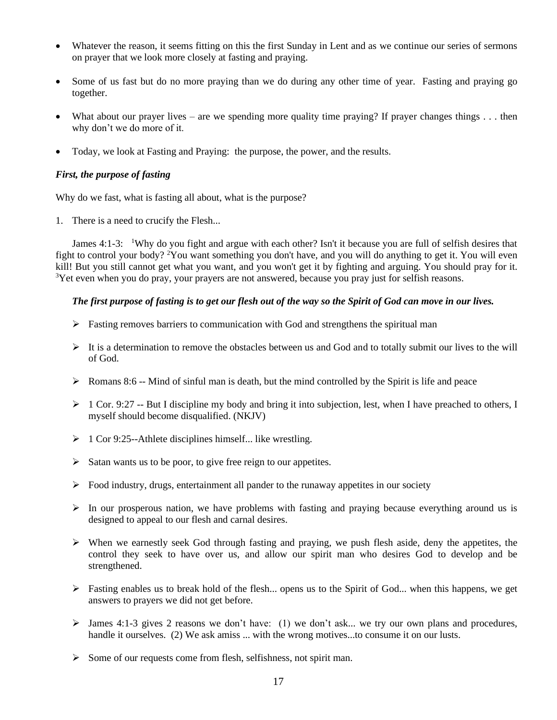- Whatever the reason, it seems fitting on this the first Sunday in Lent and as we continue our series of sermons on prayer that we look more closely at fasting and praying.
- Some of us fast but do no more praying than we do during any other time of year. Fasting and praying go together.
- What about our prayer lives are we spending more quality time praying? If prayer changes things . . . then why don't we do more of it.
- Today, we look at Fasting and Praying: the purpose, the power, and the results.

#### *First, the purpose of fasting*

Why do we fast, what is fasting all about, what is the purpose?

1. There is a need to crucify the Flesh...

James 4:1-3: <sup>1</sup>Why do you fight and argue with each other? Isn't it because you are full of selfish desires that fight to control your body? <sup>2</sup>You want something you don't have, and you will do anything to get it. You will even kill! But you still cannot get what you want, and you won't get it by fighting and arguing. You should pray for it. <sup>3</sup>Yet even when you do pray, your prayers are not answered, because you pray just for selfish reasons.

#### *The first purpose of fasting is to get our flesh out of the way so the Spirit of God can move in our lives.*

- $\triangleright$  Fasting removes barriers to communication with God and strengthens the spiritual man
- $\triangleright$  It is a determination to remove the obstacles between us and God and to totally submit our lives to the will of God.
- $\triangleright$  Romans 8:6 -- Mind of sinful man is death, but the mind controlled by the Spirit is life and peace
- $\triangleright$  1 Cor. 9:27 -- But I discipline my body and bring it into subjection, lest, when I have preached to others, I myself should become disqualified. (NKJV)
- $\geq 1$  Cor 9:25--Athlete disciplines himself... like wrestling.
- ➢ Satan wants us to be poor, to give free reign to our appetites.
- ➢ Food industry, drugs, entertainment all pander to the runaway appetites in our society
- $\triangleright$  In our prosperous nation, we have problems with fasting and praying because everything around us is designed to appeal to our flesh and carnal desires.
- ➢ When we earnestly seek God through fasting and praying, we push flesh aside, deny the appetites, the control they seek to have over us, and allow our spirit man who desires God to develop and be strengthened.
- $\triangleright$  Fasting enables us to break hold of the flesh... opens us to the Spirit of God... when this happens, we get answers to prayers we did not get before.
- $\triangleright$  James 4:1-3 gives 2 reasons we don't have: (1) we don't ask... we try our own plans and procedures, handle it ourselves. (2) We ask amiss ... with the wrong motives...to consume it on our lusts.
- ➢ Some of our requests come from flesh, selfishness, not spirit man.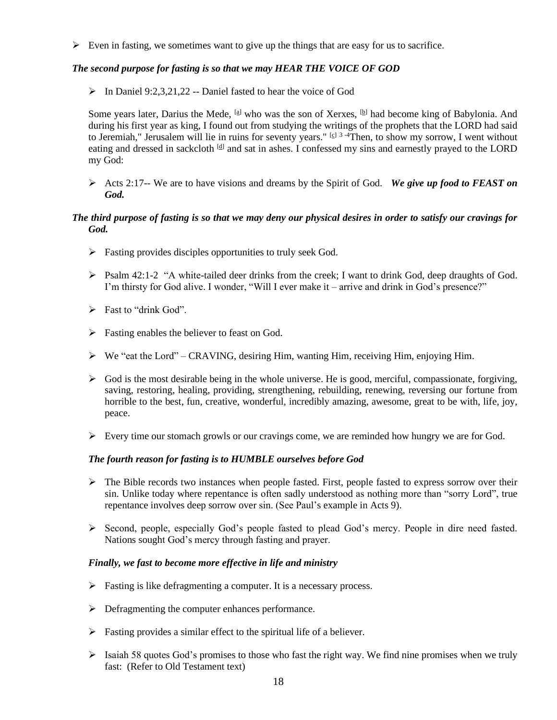$\triangleright$  Even in fasting, we sometimes want to give up the things that are easy for us to sacrifice.

#### *The second purpose for fasting is so that we may HEAR THE VOICE OF GOD*

➢ In Daniel 9:2,3,21,22 -- Daniel fasted to hear the voice of God

Some years later, Darius the Mede,  $^{[a]}$  $^{[a]}$  $^{[a]}$  who was the son of Xerxes,  $^{[b]}$  $^{[b]}$  $^{[b]}$  had become king of Babylonia. And during his first year as king, I found out from studying the writings of the prophets that the LORD had said to Jeremiah," Jerusalem will lie in ruins for seventy years."  $[c]$  3<sup>-4</sup>Then, to show my sorrow, I went without eating and dressed in sackcloth [\[d\]](http://bible.gospelcom.net/passage/?search=Daniel%209;&version=46;#fen-CEV-18680d#fen-CEV-18680d) and sat in ashes. I confessed my sins and earnestly prayed to the LORD my God:

➢ Acts 2:17-- We are to have visions and dreams by the Spirit of God. *We give up food to FEAST on God.*

#### *The third purpose of fasting is so that we may deny our physical desires in order to satisfy our cravings for God.*

- ➢ Fasting provides disciples opportunities to truly seek God.
- ➢ Psalm 42:1-2 "A white-tailed deer drinks from the creek; I want to drink God, deep draughts of God. I'm thirsty for God alive. I wonder, "Will I ever make it – arrive and drink in God's presence?"
- ➢ Fast to "drink God".
- $\triangleright$  Fasting enables the believer to feast on God.
- $\triangleright$  We "eat the Lord" CRAVING, desiring Him, wanting Him, receiving Him, enjoying Him.
- $\triangleright$  God is the most desirable being in the whole universe. He is good, merciful, compassionate, forgiving, saving, restoring, healing, providing, strengthening, rebuilding, renewing, reversing our fortune from horrible to the best, fun, creative, wonderful, incredibly amazing, awesome, great to be with, life, joy, peace.
- $\triangleright$  Every time our stomach growls or our cravings come, we are reminded how hungry we are for God.

#### *The fourth reason for fasting is to HUMBLE ourselves before God*

- $\triangleright$  The Bible records two instances when people fasted. First, people fasted to express sorrow over their sin. Unlike today where repentance is often sadly understood as nothing more than "sorry Lord", true repentance involves deep sorrow over sin. (See Paul's example in Acts 9).
- ➢ Second, people, especially God's people fasted to plead God's mercy. People in dire need fasted. Nations sought God's mercy through fasting and prayer.

#### *Finally, we fast to become more effective in life and ministry*

- ➢ Fasting is like defragmenting a computer. It is a necessary process.
- ➢ Defragmenting the computer enhances performance.
- $\triangleright$  Fasting provides a similar effect to the spiritual life of a believer.
- $\triangleright$  Isaiah 58 quotes God's promises to those who fast the right way. We find nine promises when we truly fast: (Refer to Old Testament text)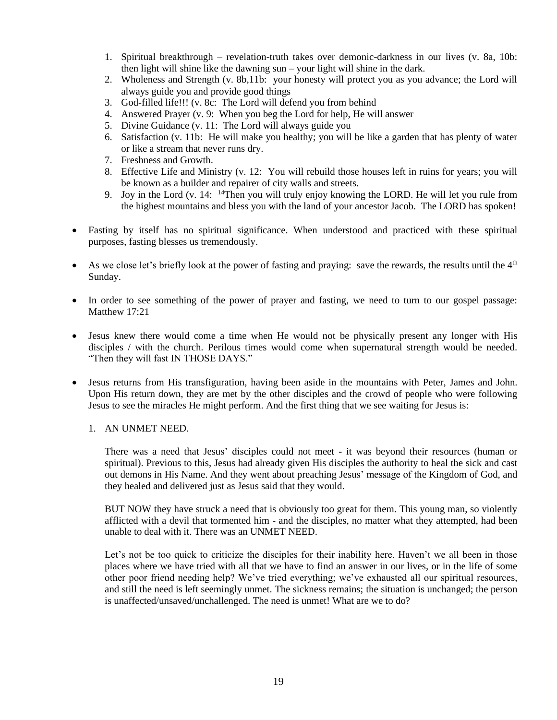- 1. Spiritual breakthrough revelation-truth takes over demonic-darkness in our lives (v. 8a, 10b: then light will shine like the dawning sun – your light will shine in the dark.
- 2. Wholeness and Strength (v. 8b,11b: your honesty will protect you as you advance; the Lord will always guide you and provide good things
- 3. God-filled life!!! (v. 8c: The Lord will defend you from behind
- 4. Answered Prayer (v. 9: When you beg the Lord for help, He will answer
- 5. Divine Guidance (v. 11: The Lord will always guide you
- 6. Satisfaction (v. 11b: He will make you healthy; you will be like a garden that has plenty of water or like a stream that never runs dry.
- 7. Freshness and Growth.
- 8. Effective Life and Ministry (v. 12: You will rebuild those houses left in ruins for years; you will be known as a builder and repairer of city walls and streets.
- 9. Joy in the Lord (v. 14: <sup>14</sup>Then you will truly enjoy knowing the LORD. He will let you rule from the highest mountains and bless you with the land of your ancestor Jacob. The LORD has spoken!
- Fasting by itself has no spiritual significance. When understood and practiced with these spiritual purposes, fasting blesses us tremendously.
- As we close let's briefly look at the power of fasting and praying: save the rewards, the results until the  $4<sup>th</sup>$ Sunday.
- In order to see something of the power of prayer and fasting, we need to turn to our gospel passage: Matthew 17:21
- Jesus knew there would come a time when He would not be physically present any longer with His disciples / with the church. Perilous times would come when supernatural strength would be needed. "Then they will fast IN THOSE DAYS."
- Jesus returns from His transfiguration, having been aside in the mountains with Peter, James and John. Upon His return down, they are met by the other disciples and the crowd of people who were following Jesus to see the miracles He might perform. And the first thing that we see waiting for Jesus is:
	- 1. AN UNMET NEED.

There was a need that Jesus' disciples could not meet - it was beyond their resources (human or spiritual). Previous to this, Jesus had already given His disciples the authority to heal the sick and cast out demons in His Name. And they went about preaching Jesus' message of the Kingdom of God, and they healed and delivered just as Jesus said that they would.

BUT NOW they have struck a need that is obviously too great for them. This young man, so violently afflicted with a devil that tormented him - and the disciples, no matter what they attempted, had been unable to deal with it. There was an UNMET NEED.

Let's not be too quick to criticize the disciples for their inability here. Haven't we all been in those places where we have tried with all that we have to find an answer in our lives, or in the life of some other poor friend needing help? We've tried everything; we've exhausted all our spiritual resources, and still the need is left seemingly unmet. The sickness remains; the situation is unchanged; the person is unaffected/unsaved/unchallenged. The need is unmet! What are we to do?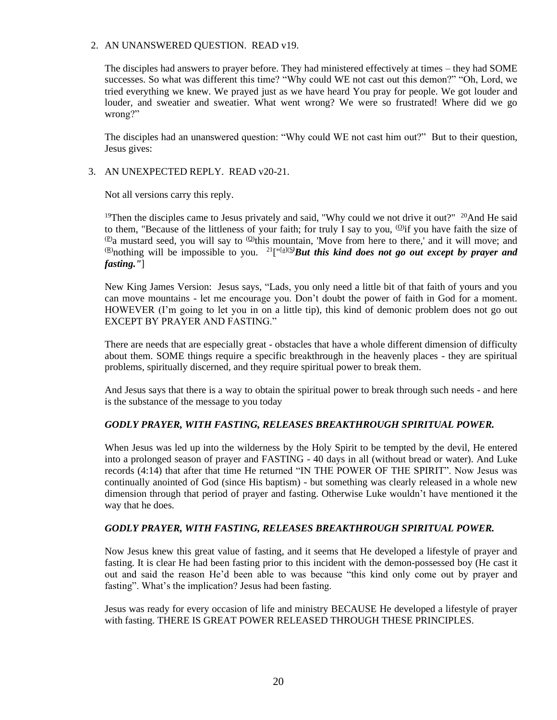#### 2. AN UNANSWERED QUESTION. READ v19.

The disciples had answers to prayer before. They had ministered effectively at times – they had SOME successes. So what was different this time? "Why could WE not cast out this demon?" "Oh, Lord, we tried everything we knew. We prayed just as we have heard You pray for people. We got louder and louder, and sweatier and sweatier. What went wrong? We were so frustrated! Where did we go wrong?"

The disciples had an unanswered question: "Why could WE not cast him out?" But to their question, Jesus gives:

#### 3. AN UNEXPECTED REPLY. READ v20-21.

Not all versions carry this reply.

<sup>19</sup>Then the disciples came to Jesus privately and said, "Why could we not drive it out?" <sup>20</sup>And He said to them, "Because of the littleness of your faith; for truly I say to you, <sup>[\(O\)](http://bible.gospelcom.net/passage/?search=Matthew%2017%20;&version=49;#cen-NASB-23721O#cen-NASB-23721O)</sup>if you have faith the size of  $P_a$  mustard seed, you will say to  $Q_b$  this mountain, 'Move from here to there,' and it will move; and  $\frac{(\mathbb{R})}{(2)}$ nothing will be impossible to you. <sup>21</sup>["[\[a\]](http://bible.gospelcom.net/passage/?search=Matthew%2017%20;&version=49;#fen-NASB-23722a#fen-NASB-23722a)[\(S](http://bible.gospelcom.net/passage/?search=Matthew%2017%20;&version=49;#cen-NASB-23722S#cen-NASB-23722S)) *But this kind does not go out except by prayer and fasting."*]

New King James Version: Jesus says, "Lads, you only need a little bit of that faith of yours and you can move mountains - let me encourage you. Don't doubt the power of faith in God for a moment. HOWEVER (I'm going to let you in on a little tip), this kind of demonic problem does not go out EXCEPT BY PRAYER AND FASTING."

There are needs that are especially great - obstacles that have a whole different dimension of difficulty about them. SOME things require a specific breakthrough in the heavenly places - they are spiritual problems, spiritually discerned, and they require spiritual power to break them.

And Jesus says that there is a way to obtain the spiritual power to break through such needs - and here is the substance of the message to you today

### *GODLY PRAYER, WITH FASTING, RELEASES BREAKTHROUGH SPIRITUAL POWER.*

When Jesus was led up into the wilderness by the Holy Spirit to be tempted by the devil, He entered into a prolonged season of prayer and FASTING - 40 days in all (without bread or water). And Luke records (4:14) that after that time He returned "IN THE POWER OF THE SPIRIT". Now Jesus was continually anointed of God (since His baptism) - but something was clearly released in a whole new dimension through that period of prayer and fasting. Otherwise Luke wouldn't have mentioned it the way that he does.

#### *GODLY PRAYER, WITH FASTING, RELEASES BREAKTHROUGH SPIRITUAL POWER.*

Now Jesus knew this great value of fasting, and it seems that He developed a lifestyle of prayer and fasting. It is clear He had been fasting prior to this incident with the demon-possessed boy (He cast it out and said the reason He'd been able to was because "this kind only come out by prayer and fasting". What's the implication? Jesus had been fasting.

Jesus was ready for every occasion of life and ministry BECAUSE He developed a lifestyle of prayer with fasting. THERE IS GREAT POWER RELEASED THROUGH THESE PRINCIPLES.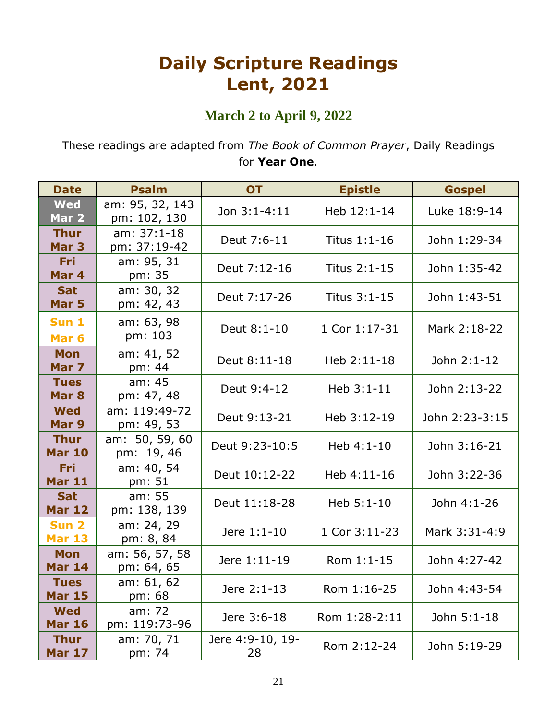# **Daily Scripture Readings Lent, 2021**

**March 2 to April 9, 2022**

These readings are adapted from *The Book of Common Prayer*, Daily Readings for **Year One**.

| <b>Date</b>                       | <b>Psalm</b>                    | <b>OT</b>              | <b>Epistle</b> | <b>Gospel</b>  |
|-----------------------------------|---------------------------------|------------------------|----------------|----------------|
| <b>Wed</b><br>Mar 2               | am: 95, 32, 143<br>pm: 102, 130 | Jon 3:1-4:11           | Heb 12:1-14    | Luke 18:9-14   |
| <b>Thur</b><br>Mar <sub>3</sub>   | am: 37:1-18<br>pm: 37:19-42     | Deut 7:6-11            | Titus 1:1-16   | John 1:29-34   |
| <b>Fri</b><br>Mar 4               | am: 95, 31<br>pm: 35            | Deut 7:12-16           | Titus 2:1-15   | John 1:35-42   |
| <b>Sat</b><br>Mar 5               | am: 30, 32<br>pm: 42, 43        | Deut 7:17-26           | Titus 3:1-15   | John 1:43-51   |
| Sun 1<br>Mar <sub>6</sub>         | am: 63, 98<br>pm: 103           | Deut 8:1-10            | 1 Cor 1:17-31  | Mark 2:18-22   |
| <b>Mon</b><br>Mar 7               | am: 41, 52<br>pm: 44            | Deut 8:11-18           | Heb 2:11-18    | John 2:1-12    |
| <b>Tues</b><br>Mar <sub>8</sub>   | am: 45<br>pm: 47, 48            | Deut 9:4-12            | Heb 3:1-11     | John 2:13-22   |
| <b>Wed</b><br>Mar 9               | am: 119:49-72<br>pm: 49, 53     | Deut 9:13-21           | Heb 3:12-19    | John 2:23-3:15 |
| <b>Thur</b><br><b>Mar 10</b>      | am: 50, 59, 60<br>pm: 19, 46    | Deut 9:23-10:5         | Heb 4:1-10     | John 3:16-21   |
| <b>Fri</b><br><b>Mar 11</b>       | am: 40, 54<br>pm: 51            | Deut 10:12-22          | Heb 4:11-16    | John 3:22-36   |
| <b>Sat</b><br><b>Mar 12</b>       | am: 55<br>pm: 138, 139          | Deut 11:18-28          | Heb 5:1-10     | John 4:1-26    |
| Sun <sub>2</sub><br><b>Mar 13</b> | am: 24, 29<br>pm: 8, 84         | Jere 1:1-10            | 1 Cor 3:11-23  | Mark 3:31-4:9  |
| <b>Mon</b><br><b>Mar 14</b>       | am: 56, 57, 58<br>pm: 64, 65    | Jere 1:11-19           | Rom 1:1-15     | John 4:27-42   |
| <b>Tues</b><br><b>Mar 15</b>      | am: 61, 62<br>pm: 68            | Jere 2:1-13            | Rom 1:16-25    | John 4:43-54   |
| <b>Wed</b><br><b>Mar 16</b>       | am: 72<br>pm: 119:73-96         | Jere 3:6-18            | Rom 1:28-2:11  | John 5:1-18    |
| <b>Thur</b><br><b>Mar 17</b>      | am: 70, 71<br>pm: 74            | Jere 4:9-10, 19-<br>28 | Rom 2:12-24    | John 5:19-29   |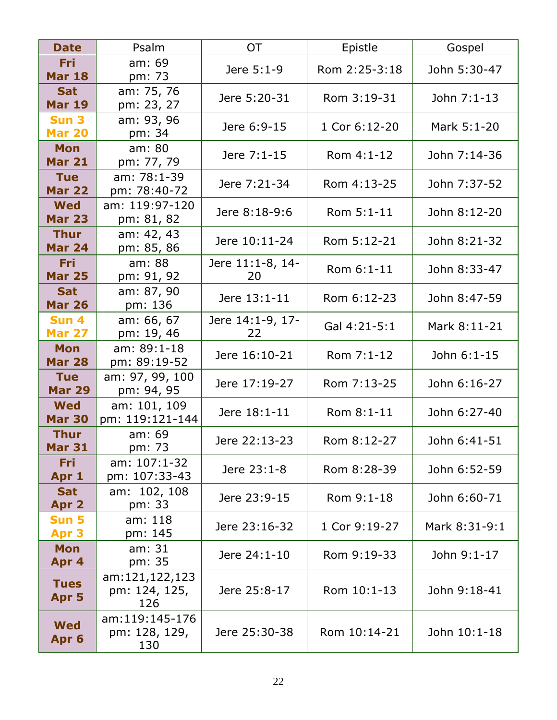| <b>Date</b>                       | Psalm                                  | <b>OT</b>              | Epistle       | Gospel        |
|-----------------------------------|----------------------------------------|------------------------|---------------|---------------|
| Fri<br><b>Mar 18</b>              | am: 69<br>pm: 73                       | Jere 5:1-9             | Rom 2:25-3:18 | John 5:30-47  |
| <b>Sat</b><br><b>Mar 19</b>       | am: 75, 76<br>pm: 23, 27               | Jere 5:20-31           | Rom 3:19-31   | John 7:1-13   |
| Sun <sub>3</sub><br><b>Mar 20</b> | am: 93, 96<br>pm: 34                   | Jere 6:9-15            | 1 Cor 6:12-20 | Mark 5:1-20   |
| <b>Mon</b><br><b>Mar 21</b>       | am: 80<br>pm: 77, 79                   | Jere 7:1-15            | Rom 4:1-12    | John 7:14-36  |
| <b>Tue</b><br><b>Mar 22</b>       | am: 78:1-39<br>pm: 78:40-72            | Jere 7:21-34           | Rom 4:13-25   | John 7:37-52  |
| <b>Wed</b><br><b>Mar 23</b>       | am: 119:97-120<br>pm: 81, 82           | Jere 8:18-9:6          | Rom 5:1-11    | John 8:12-20  |
| <b>Thur</b><br><b>Mar 24</b>      | am: 42, 43<br>pm: 85, 86               | Jere 10:11-24          | Rom 5:12-21   | John 8:21-32  |
| <b>Fri</b><br><b>Mar 25</b>       | am: 88<br>pm: 91, 92                   | Jere 11:1-8, 14-<br>20 | Rom 6:1-11    | John 8:33-47  |
| <b>Sat</b><br><b>Mar 26</b>       | am: 87, 90<br>pm: 136                  | Jere 13:1-11           | Rom 6:12-23   | John 8:47-59  |
| Sun 4<br><b>Mar 27</b>            | am: 66, 67<br>pm: 19, 46               | Jere 14:1-9, 17-<br>22 | Gal 4:21-5:1  | Mark 8:11-21  |
| <b>Mon</b><br><b>Mar 28</b>       | am: 89:1-18<br>pm: 89:19-52            | Jere 16:10-21          | Rom 7:1-12    | John 6:1-15   |
| <b>Tue</b><br><b>Mar 29</b>       | am: 97, 99, 100<br>pm: 94, 95          | Jere 17:19-27          | Rom 7:13-25   | John 6:16-27  |
| <b>Wed</b><br><b>Mar 30</b>       | am: 101, 109<br>pm: 119:121-144        | Jere 18:1-11           | Rom 8:1-11    | John 6:27-40  |
| <b>Thur</b><br><b>Mar 31</b>      | am: 69<br>pm: 73                       | Jere 22:13-23          | Rom 8:12-27   | John 6:41-51  |
| <b>Fri</b><br>Apr 1               | am: 107:1-32<br>pm: 107:33-43          | Jere 23:1-8            | Rom 8:28-39   | John 6:52-59  |
| <b>Sat</b><br>Apr <sub>2</sub>    | am: 102, 108<br>pm: 33                 | Jere 23:9-15           | Rom 9:1-18    | John 6:60-71  |
| Sun 5<br>Apr <sub>3</sub>         | am: 118<br>pm: 145                     | Jere 23:16-32          | 1 Cor 9:19-27 | Mark 8:31-9:1 |
| <b>Mon</b><br>Apr 4               | am: 31<br>pm: 35                       | Jere 24:1-10           | Rom 9:19-33   | John 9:1-17   |
| <b>Tues</b><br>Apr 5              | am:121,122,123<br>pm: 124, 125,<br>126 | Jere 25:8-17           | Rom 10:1-13   | John 9:18-41  |
| <b>Wed</b><br>Apr 6               | am:119:145-176<br>pm: 128, 129,<br>130 | Jere 25:30-38          | Rom 10:14-21  | John 10:1-18  |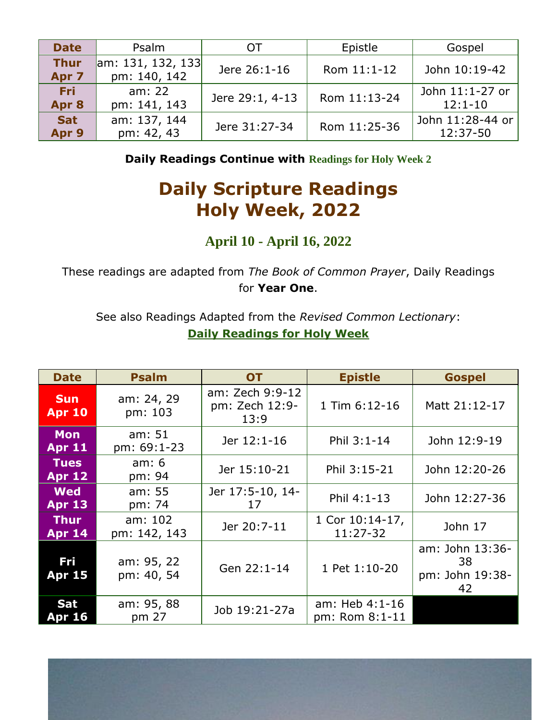| <b>Date</b>                     | Psalm                             | OT              | Epistle      | Gospel                         |
|---------------------------------|-----------------------------------|-----------------|--------------|--------------------------------|
| <b>Thur</b><br>Apr <sub>7</sub> | am: 131, 132, 133<br>pm: 140, 142 | Jere 26:1-16    | Rom 11:1-12  | John 10:19-42                  |
| <b>Fri</b><br>Apr 8             | am: 22<br>pm: 141, 143            | Jere 29:1, 4-13 | Rom 11:13-24 | John 11:1-27 or<br>$12:1 - 10$ |
| <b>Sat</b><br>Apr 9             | am: 137, 144<br>pm: 42, 43        | Jere 31:27-34   | Rom 11:25-36 | John 11:28-44 or<br>12:37-50   |

**Daily Readings Continue with [Readings for Holy Week](http://www.crivoice.org/holyweek2.html) 2**

# **Daily Scripture Readings Holy Week, 2022**

# **April 10 - April 16, 2022**

These readings are adapted from *The Book of Common Prayer*, Daily Readings for **Year One**.

See also Readings Adapted from the *Revised Common Lectionary*: **[Daily Readings for Holy Week](http://www.crivoice.org/holyweek1.html#rcl)**

| <b>Date</b>                  | <b>Psalm</b>             | <b>OT</b>                                 | <b>Epistle</b>                   | <b>Gospel</b>                                  |
|------------------------------|--------------------------|-------------------------------------------|----------------------------------|------------------------------------------------|
| <b>Sun</b><br><b>Apr 10</b>  | am: 24, 29<br>pm: 103    | am: Zech 9:9-12<br>pm: Zech 12:9-<br>13:9 | 1 Tim 6:12-16                    | Matt 21:12-17                                  |
| <b>Mon</b><br><b>Apr 11</b>  | am: 51<br>pm: 69:1-23    | Jer 12:1-16                               | Phil 3:1-14                      | John 12:9-19                                   |
| <b>Tues</b><br><b>Apr 12</b> | am: 6<br>pm: 94          | Jer 15:10-21                              | Phil 3:15-21                     | John 12:20-26                                  |
| <b>Wed</b><br><b>Apr 13</b>  | am: 55<br>pm: 74         | Jer 17:5-10, 14-<br>17                    | Phil 4:1-13                      | John 12:27-36                                  |
| <b>Thur</b><br><b>Apr 14</b> | am: 102<br>pm: 142, 143  | Jer 20:7-11                               | 1 Cor 10:14-17,<br>11:27-32      | John 17                                        |
| <b>Fri</b><br><b>Apr 15</b>  | am: 95, 22<br>pm: 40, 54 | Gen 22:1-14                               | 1 Pet 1:10-20                    | am: John 13:36-<br>38<br>pm: John 19:38-<br>42 |
| <b>Sat</b><br><b>Apr 16</b>  | am: 95, 88<br>pm 27      | Job 19:21-27a                             | am: Heb 4:1-16<br>pm: Rom 8:1-11 |                                                |